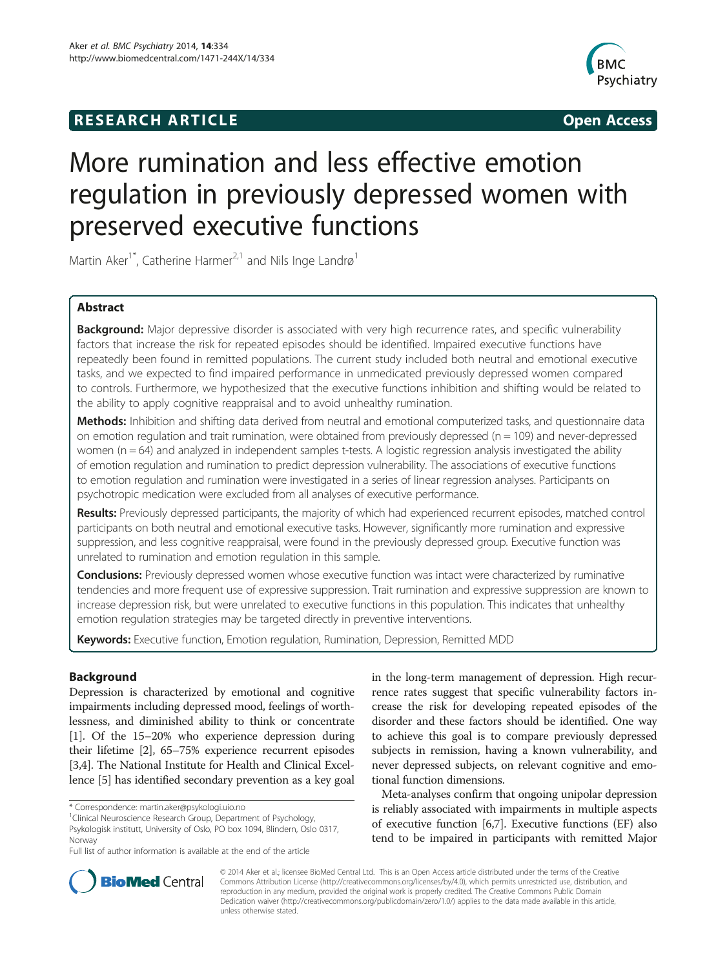# **RESEARCH ARTICLE Example 2014 The SEAR CH ACCESS**



# More rumination and less effective emotion regulation in previously depressed women with preserved executive functions

Martin Aker<sup>1\*</sup>, Catherine Harmer<sup>2,1</sup> and Nils Inge Landrø<sup>1</sup>

# Abstract

Background: Major depressive disorder is associated with very high recurrence rates, and specific vulnerability factors that increase the risk for repeated episodes should be identified. Impaired executive functions have repeatedly been found in remitted populations. The current study included both neutral and emotional executive tasks, and we expected to find impaired performance in unmedicated previously depressed women compared to controls. Furthermore, we hypothesized that the executive functions inhibition and shifting would be related to the ability to apply cognitive reappraisal and to avoid unhealthy rumination.

Methods: Inhibition and shifting data derived from neutral and emotional computerized tasks, and questionnaire data on emotion regulation and trait rumination, were obtained from previously depressed ( $n = 109$ ) and never-depressed women  $(n = 64)$  and analyzed in independent samples t-tests. A logistic regression analysis investigated the ability of emotion regulation and rumination to predict depression vulnerability. The associations of executive functions to emotion regulation and rumination were investigated in a series of linear regression analyses. Participants on psychotropic medication were excluded from all analyses of executive performance.

Results: Previously depressed participants, the majority of which had experienced recurrent episodes, matched control participants on both neutral and emotional executive tasks. However, significantly more rumination and expressive suppression, and less cognitive reappraisal, were found in the previously depressed group. Executive function was unrelated to rumination and emotion regulation in this sample.

**Conclusions:** Previously depressed women whose executive function was intact were characterized by ruminative tendencies and more frequent use of expressive suppression. Trait rumination and expressive suppression are known to increase depression risk, but were unrelated to executive functions in this population. This indicates that unhealthy emotion regulation strategies may be targeted directly in preventive interventions.

Keywords: Executive function, Emotion regulation, Rumination, Depression, Remitted MDD

# Background

Depression is characterized by emotional and cognitive impairments including depressed mood, feelings of worthlessness, and diminished ability to think or concentrate [[1\]](#page-8-0). Of the 15–20% who experience depression during their lifetime [\[2](#page-8-0)], 65–75% experience recurrent episodes [[3,4](#page-8-0)]. The National Institute for Health and Clinical Excellence [\[5](#page-8-0)] has identified secondary prevention as a key goal

in the long-term management of depression. High recurrence rates suggest that specific vulnerability factors increase the risk for developing repeated episodes of the disorder and these factors should be identified. One way to achieve this goal is to compare previously depressed subjects in remission, having a known vulnerability, and never depressed subjects, on relevant cognitive and emotional function dimensions.

Meta-analyses confirm that ongoing unipolar depression is reliably associated with impairments in multiple aspects of executive function [\[6,7\]](#page-8-0). Executive functions (EF) also tend to be impaired in participants with remitted Major



© 2014 Aker et al.; licensee BioMed Central Ltd. This is an Open Access article distributed under the terms of the Creative Commons Attribution License [\(http://creativecommons.org/licenses/by/4.0\)](http://creativecommons.org/licenses/by/4.0), which permits unrestricted use, distribution, and reproduction in any medium, provided the original work is properly credited. The Creative Commons Public Domain Dedication waiver [\(http://creativecommons.org/publicdomain/zero/1.0/](http://creativecommons.org/publicdomain/zero/1.0/)) applies to the data made available in this article, unless otherwise stated.

<sup>\*</sup> Correspondence: [martin.aker@psykologi.uio.no](mailto:martin.aker@psykologi.uio.no) <sup>1</sup>

<sup>&</sup>lt;sup>1</sup> Clinical Neuroscience Research Group, Department of Psychology, Psykologisk institutt, University of Oslo, PO box 1094, Blindern, Oslo 0317, Norway

Full list of author information is available at the end of the article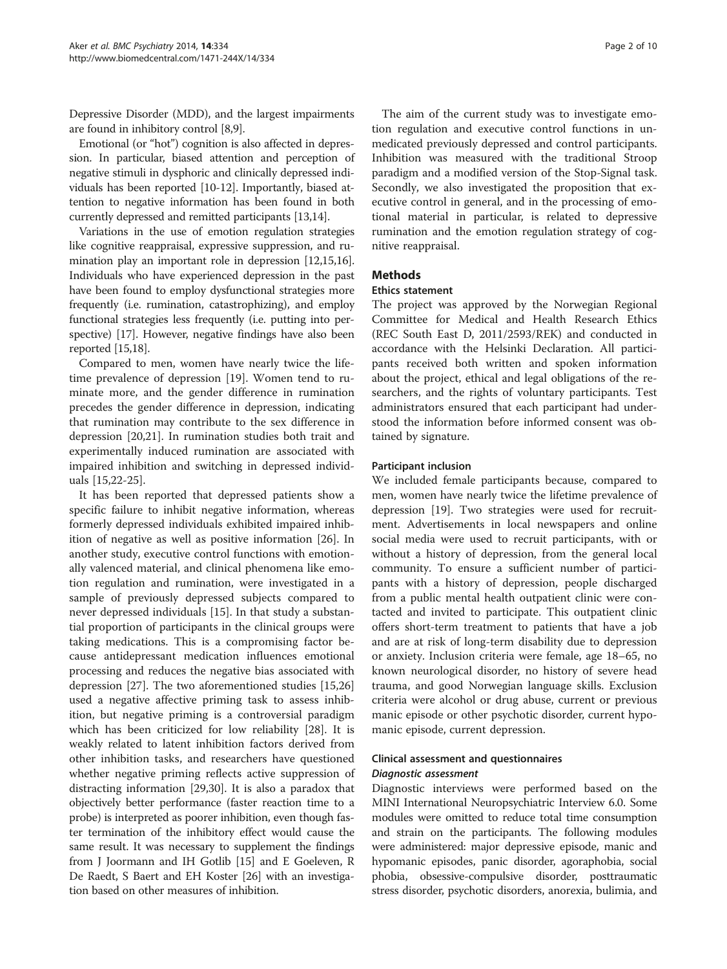Depressive Disorder (MDD), and the largest impairments are found in inhibitory control [\[8,9\]](#page-8-0).

Emotional (or "hot") cognition is also affected in depression. In particular, biased attention and perception of negative stimuli in dysphoric and clinically depressed individuals has been reported [\[10-12\]](#page-8-0). Importantly, biased attention to negative information has been found in both currently depressed and remitted participants [[13](#page-8-0),[14](#page-8-0)].

Variations in the use of emotion regulation strategies like cognitive reappraisal, expressive suppression, and rumination play an important role in depression [\[12,15,16](#page-8-0)]. Individuals who have experienced depression in the past have been found to employ dysfunctional strategies more frequently (i.e. rumination, catastrophizing), and employ functional strategies less frequently (i.e. putting into perspective) [\[17](#page-8-0)]. However, negative findings have also been reported [\[15,18\]](#page-8-0).

Compared to men, women have nearly twice the lifetime prevalence of depression [\[19](#page-8-0)]. Women tend to ruminate more, and the gender difference in rumination precedes the gender difference in depression, indicating that rumination may contribute to the sex difference in depression [\[20,21\]](#page-8-0). In rumination studies both trait and experimentally induced rumination are associated with impaired inhibition and switching in depressed individuals [[15,22-25\]](#page-8-0).

It has been reported that depressed patients show a specific failure to inhibit negative information, whereas formerly depressed individuals exhibited impaired inhibition of negative as well as positive information [[26\]](#page-8-0). In another study, executive control functions with emotionally valenced material, and clinical phenomena like emotion regulation and rumination, were investigated in a sample of previously depressed subjects compared to never depressed individuals [\[15\]](#page-8-0). In that study a substantial proportion of participants in the clinical groups were taking medications. This is a compromising factor because antidepressant medication influences emotional processing and reduces the negative bias associated with depression [[27\]](#page-9-0). The two aforementioned studies [[15](#page-8-0),[26](#page-8-0)] used a negative affective priming task to assess inhibition, but negative priming is a controversial paradigm which has been criticized for low reliability [[28\]](#page-9-0). It is weakly related to latent inhibition factors derived from other inhibition tasks, and researchers have questioned whether negative priming reflects active suppression of distracting information [[29,30\]](#page-9-0). It is also a paradox that objectively better performance (faster reaction time to a probe) is interpreted as poorer inhibition, even though faster termination of the inhibitory effect would cause the same result. It was necessary to supplement the findings from J Joormann and IH Gotlib [\[15\]](#page-8-0) and E Goeleven, R De Raedt, S Baert and EH Koster [[26](#page-8-0)] with an investigation based on other measures of inhibition.

The aim of the current study was to investigate emotion regulation and executive control functions in unmedicated previously depressed and control participants. Inhibition was measured with the traditional Stroop paradigm and a modified version of the Stop-Signal task. Secondly, we also investigated the proposition that executive control in general, and in the processing of emotional material in particular, is related to depressive rumination and the emotion regulation strategy of cognitive reappraisal.

# Methods

#### Ethics statement

The project was approved by the Norwegian Regional Committee for Medical and Health Research Ethics (REC South East D, 2011/2593/REK) and conducted in accordance with the Helsinki Declaration. All participants received both written and spoken information about the project, ethical and legal obligations of the researchers, and the rights of voluntary participants. Test administrators ensured that each participant had understood the information before informed consent was obtained by signature.

# Participant inclusion

We included female participants because, compared to men, women have nearly twice the lifetime prevalence of depression [\[19](#page-8-0)]. Two strategies were used for recruitment. Advertisements in local newspapers and online social media were used to recruit participants, with or without a history of depression, from the general local community. To ensure a sufficient number of participants with a history of depression, people discharged from a public mental health outpatient clinic were contacted and invited to participate. This outpatient clinic offers short-term treatment to patients that have a job and are at risk of long-term disability due to depression or anxiety. Inclusion criteria were female, age 18–65, no known neurological disorder, no history of severe head trauma, and good Norwegian language skills. Exclusion criteria were alcohol or drug abuse, current or previous manic episode or other psychotic disorder, current hypomanic episode, current depression.

# Clinical assessment and questionnaires Diagnostic assessment

Diagnostic interviews were performed based on the MINI International Neuropsychiatric Interview 6.0. Some modules were omitted to reduce total time consumption and strain on the participants. The following modules were administered: major depressive episode, manic and hypomanic episodes, panic disorder, agoraphobia, social phobia, obsessive-compulsive disorder, posttraumatic stress disorder, psychotic disorders, anorexia, bulimia, and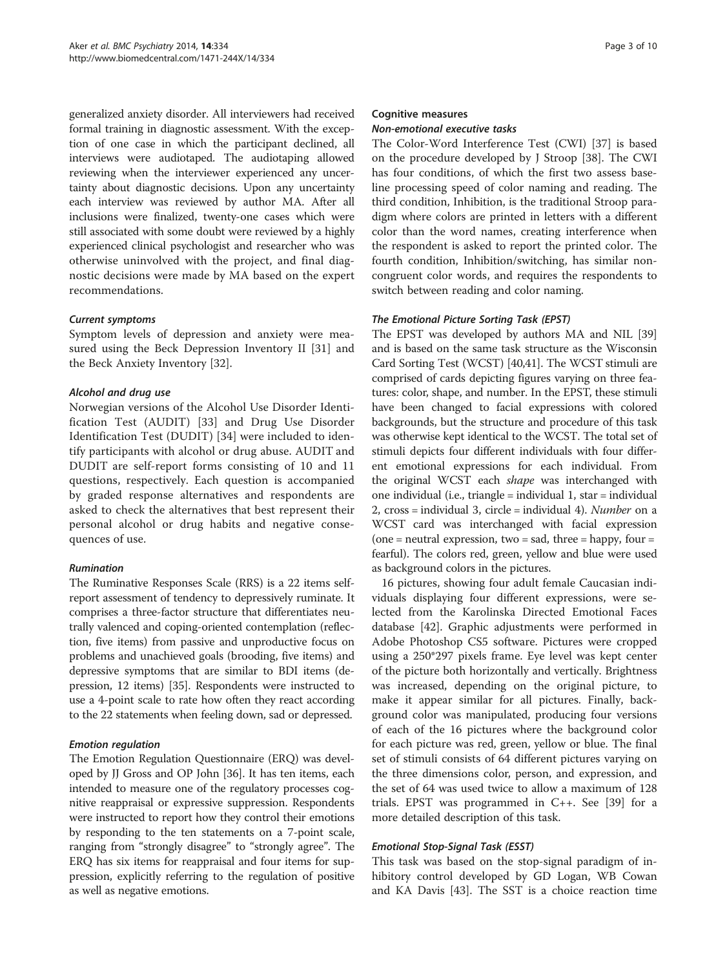generalized anxiety disorder. All interviewers had received formal training in diagnostic assessment. With the exception of one case in which the participant declined, all interviews were audiotaped. The audiotaping allowed reviewing when the interviewer experienced any uncertainty about diagnostic decisions. Upon any uncertainty each interview was reviewed by author MA. After all inclusions were finalized, twenty-one cases which were still associated with some doubt were reviewed by a highly experienced clinical psychologist and researcher who was otherwise uninvolved with the project, and final diagnostic decisions were made by MA based on the expert recommendations.

#### Current symptoms

Symptom levels of depression and anxiety were measured using the Beck Depression Inventory II [\[31](#page-9-0)] and the Beck Anxiety Inventory [\[32](#page-9-0)].

# Alcohol and drug use

Norwegian versions of the Alcohol Use Disorder Identification Test (AUDIT) [\[33](#page-9-0)] and Drug Use Disorder Identification Test (DUDIT) [[34\]](#page-9-0) were included to identify participants with alcohol or drug abuse. AUDIT and DUDIT are self-report forms consisting of 10 and 11 questions, respectively. Each question is accompanied by graded response alternatives and respondents are asked to check the alternatives that best represent their personal alcohol or drug habits and negative consequences of use.

#### Rumination

The Ruminative Responses Scale (RRS) is a 22 items selfreport assessment of tendency to depressively ruminate. It comprises a three-factor structure that differentiates neutrally valenced and coping-oriented contemplation (reflection, five items) from passive and unproductive focus on problems and unachieved goals (brooding, five items) and depressive symptoms that are similar to BDI items (depression, 12 items) [\[35](#page-9-0)]. Respondents were instructed to use a 4-point scale to rate how often they react according to the 22 statements when feeling down, sad or depressed.

#### Emotion regulation

The Emotion Regulation Questionnaire (ERQ) was developed by JJ Gross and OP John [[36](#page-9-0)]. It has ten items, each intended to measure one of the regulatory processes cognitive reappraisal or expressive suppression. Respondents were instructed to report how they control their emotions by responding to the ten statements on a 7-point scale, ranging from "strongly disagree" to "strongly agree". The ERQ has six items for reappraisal and four items for suppression, explicitly referring to the regulation of positive as well as negative emotions.

#### Cognitive measures

#### Non-emotional executive tasks

The Color-Word Interference Test (CWI) [[37\]](#page-9-0) is based on the procedure developed by J Stroop [[38\]](#page-9-0). The CWI has four conditions, of which the first two assess baseline processing speed of color naming and reading. The third condition, Inhibition, is the traditional Stroop paradigm where colors are printed in letters with a different color than the word names, creating interference when the respondent is asked to report the printed color. The fourth condition, Inhibition/switching, has similar noncongruent color words, and requires the respondents to switch between reading and color naming.

# The Emotional Picture Sorting Task (EPST)

The EPST was developed by authors MA and NIL [[39](#page-9-0)] and is based on the same task structure as the Wisconsin Card Sorting Test (WCST) [[40,41\]](#page-9-0). The WCST stimuli are comprised of cards depicting figures varying on three features: color, shape, and number. In the EPST, these stimuli have been changed to facial expressions with colored backgrounds, but the structure and procedure of this task was otherwise kept identical to the WCST. The total set of stimuli depicts four different individuals with four different emotional expressions for each individual. From the original WCST each *shape* was interchanged with one individual (i.e., triangle = individual 1, star = individual 2, cross = individual 3, circle = individual 4). Number on a WCST card was interchanged with facial expression (one = neutral expression, two = sad, three = happy, four = fearful). The colors red, green, yellow and blue were used as background colors in the pictures.

16 pictures, showing four adult female Caucasian individuals displaying four different expressions, were selected from the Karolinska Directed Emotional Faces database [[42](#page-9-0)]. Graphic adjustments were performed in Adobe Photoshop CS5 software. Pictures were cropped using a 250\*297 pixels frame. Eye level was kept center of the picture both horizontally and vertically. Brightness was increased, depending on the original picture, to make it appear similar for all pictures. Finally, background color was manipulated, producing four versions of each of the 16 pictures where the background color for each picture was red, green, yellow or blue. The final set of stimuli consists of 64 different pictures varying on the three dimensions color, person, and expression, and the set of 64 was used twice to allow a maximum of 128 trials. EPST was programmed in C++. See [\[39\]](#page-9-0) for a more detailed description of this task.

# Emotional Stop-Signal Task (ESST)

This task was based on the stop-signal paradigm of inhibitory control developed by GD Logan, WB Cowan and KA Davis [[43\]](#page-9-0). The SST is a choice reaction time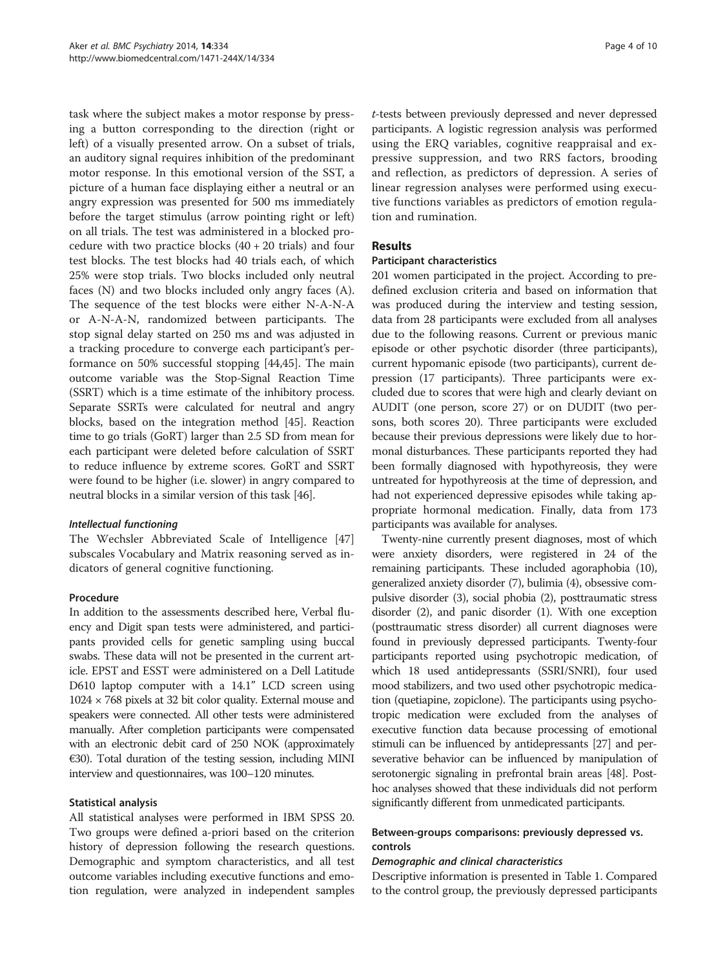task where the subject makes a motor response by pressing a button corresponding to the direction (right or left) of a visually presented arrow. On a subset of trials, an auditory signal requires inhibition of the predominant motor response. In this emotional version of the SST, a picture of a human face displaying either a neutral or an angry expression was presented for 500 ms immediately before the target stimulus (arrow pointing right or left) on all trials. The test was administered in a blocked procedure with two practice blocks  $(40 + 20 \text{ trials})$  and four test blocks. The test blocks had 40 trials each, of which 25% were stop trials. Two blocks included only neutral faces (N) and two blocks included only angry faces (A). The sequence of the test blocks were either N-A-N-A or A-N-A-N, randomized between participants. The stop signal delay started on 250 ms and was adjusted in a tracking procedure to converge each participant's performance on 50% successful stopping [\[44,45](#page-9-0)]. The main outcome variable was the Stop-Signal Reaction Time (SSRT) which is a time estimate of the inhibitory process. Separate SSRTs were calculated for neutral and angry blocks, based on the integration method [\[45\]](#page-9-0). Reaction time to go trials (GoRT) larger than 2.5 SD from mean for each participant were deleted before calculation of SSRT to reduce influence by extreme scores. GoRT and SSRT were found to be higher (i.e. slower) in angry compared to neutral blocks in a similar version of this task [[46](#page-9-0)].

# Intellectual functioning

The Wechsler Abbreviated Scale of Intelligence [[47](#page-9-0)] subscales Vocabulary and Matrix reasoning served as indicators of general cognitive functioning.

#### Procedure

In addition to the assessments described here, Verbal fluency and Digit span tests were administered, and participants provided cells for genetic sampling using buccal swabs. These data will not be presented in the current article. EPST and ESST were administered on a Dell Latitude D610 laptop computer with a 14.1" LCD screen using 1024 × 768 pixels at 32 bit color quality. External mouse and speakers were connected. All other tests were administered manually. After completion participants were compensated with an electronic debit card of 250 NOK (approximately  $\epsilon$ 30). Total duration of the testing session, including MINI interview and questionnaires, was 100–120 minutes.

#### Statistical analysis

All statistical analyses were performed in IBM SPSS 20. Two groups were defined a-priori based on the criterion history of depression following the research questions. Demographic and symptom characteristics, and all test outcome variables including executive functions and emotion regulation, were analyzed in independent samples

t-tests between previously depressed and never depressed participants. A logistic regression analysis was performed using the ERQ variables, cognitive reappraisal and expressive suppression, and two RRS factors, brooding and reflection, as predictors of depression. A series of linear regression analyses were performed using executive functions variables as predictors of emotion regulation and rumination.

# Results

#### Participant characteristics

201 women participated in the project. According to predefined exclusion criteria and based on information that was produced during the interview and testing session, data from 28 participants were excluded from all analyses due to the following reasons. Current or previous manic episode or other psychotic disorder (three participants), current hypomanic episode (two participants), current depression (17 participants). Three participants were excluded due to scores that were high and clearly deviant on AUDIT (one person, score 27) or on DUDIT (two persons, both scores 20). Three participants were excluded because their previous depressions were likely due to hormonal disturbances. These participants reported they had been formally diagnosed with hypothyreosis, they were untreated for hypothyreosis at the time of depression, and had not experienced depressive episodes while taking appropriate hormonal medication. Finally, data from 173 participants was available for analyses.

Twenty-nine currently present diagnoses, most of which were anxiety disorders, were registered in 24 of the remaining participants. These included agoraphobia (10), generalized anxiety disorder (7), bulimia (4), obsessive compulsive disorder (3), social phobia (2), posttraumatic stress disorder (2), and panic disorder (1). With one exception (posttraumatic stress disorder) all current diagnoses were found in previously depressed participants. Twenty-four participants reported using psychotropic medication, of which 18 used antidepressants (SSRI/SNRI), four used mood stabilizers, and two used other psychotropic medication (quetiapine, zopiclone). The participants using psychotropic medication were excluded from the analyses of executive function data because processing of emotional stimuli can be influenced by antidepressants [\[27\]](#page-9-0) and perseverative behavior can be influenced by manipulation of serotonergic signaling in prefrontal brain areas [\[48](#page-9-0)]. Posthoc analyses showed that these individuals did not perform significantly different from unmedicated participants.

# Between-groups comparisons: previously depressed vs. controls

#### Demographic and clinical characteristics

Descriptive information is presented in Table [1.](#page-4-0) Compared to the control group, the previously depressed participants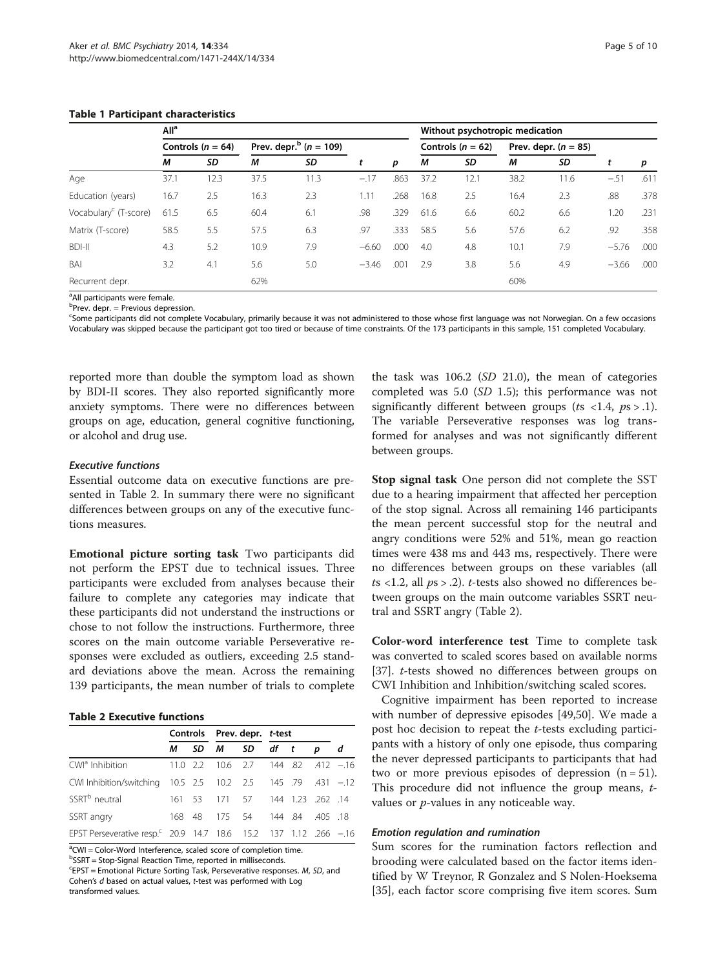<span id="page-4-0"></span>

| <b>Table 1 Participant characteristics</b> |  |
|--------------------------------------------|--|
|--------------------------------------------|--|

|                                   | All <sup>a</sup>      |      |                              |      |         |      |                       | Without psychotropic medication |                        |      |         |      |
|-----------------------------------|-----------------------|------|------------------------------|------|---------|------|-----------------------|---------------------------------|------------------------|------|---------|------|
|                                   | Controls ( $n = 64$ ) |      | Prev. depr. $^{b}$ (n = 109) |      |         |      | Controls ( $n = 62$ ) |                                 | Prev. depr. $(n = 85)$ |      |         |      |
|                                   | м                     | SD   | М                            | SD   |         | p    | м                     | SD                              | М                      | SD   | t       | р    |
| Age                               | 37.1                  | 12.3 | 37.5                         | 11.3 | $-.17$  | .863 | 37.2                  | 12.1                            | 38.2                   | 11.6 | $-.51$  | .611 |
| Education (years)                 | 16.7                  | 2.5  | 16.3                         | 2.3  | 1.11    | .268 | 16.8                  | 2.5                             | 16.4                   | 2.3  | .88     | .378 |
| Vocabulary <sup>c</sup> (T-score) | 61.5                  | 6.5  | 60.4                         | 6.1  | .98     | .329 | 61.6                  | 6.6                             | 60.2                   | 6.6  | 1.20    | .231 |
| Matrix (T-score)                  | 58.5                  | 5.5  | 57.5                         | 6.3  | .97     | .333 | 58.5                  | 5.6                             | 57.6                   | 6.2  | .92     | .358 |
| BDI-II                            | 4.3                   | 5.2  | 10.9                         | 7.9  | $-6.60$ | .000 | 4.0                   | 4.8                             | 10.1                   | 7.9  | $-5.76$ | .000 |
| BAI                               | 3.2                   | 4.1  | 5.6                          | 5.0  | $-3.46$ | .001 | 2.9                   | 3.8                             | 5.6                    | 4.9  | $-3.66$ | .000 |
| Recurrent depr.                   |                       |      | 62%                          |      |         |      |                       |                                 | 60%                    |      |         |      |

<sup>a</sup>All participants were female.

<sup>b</sup>Prev. depr. = Previous depression.

c Some participants did not complete Vocabulary, primarily because it was not administered to those whose first language was not Norwegian. On a few occasions Vocabulary was skipped because the participant got too tired or because of time constraints. Of the 173 participants in this sample, 151 completed Vocabulary.

reported more than double the symptom load as shown by BDI-II scores. They also reported significantly more anxiety symptoms. There were no differences between groups on age, education, general cognitive functioning, or alcohol and drug use.

#### Executive functions

Essential outcome data on executive functions are presented in Table 2. In summary there were no significant differences between groups on any of the executive functions measures.

Emotional picture sorting task Two participants did not perform the EPST due to technical issues. Three participants were excluded from analyses because their failure to complete any categories may indicate that these participants did not understand the instructions or chose to not follow the instructions. Furthermore, three scores on the main outcome variable Perseverative responses were excluded as outliers, exceeding 2.5 standard deviations above the mean. Across the remaining 139 participants, the mean number of trials to complete

#### Table 2 Executive functions

|                                                                                                                                                                                                                                           |  |  | Controls Prev. depr. t-test |                                 |  |  |     |  |  |
|-------------------------------------------------------------------------------------------------------------------------------------------------------------------------------------------------------------------------------------------|--|--|-----------------------------|---------------------------------|--|--|-----|--|--|
|                                                                                                                                                                                                                                           |  |  |                             | MSD MSD dft                     |  |  | p d |  |  |
| CWI <sup>a</sup> Inhibition   11.0   2.2   10.6   2.7   144   .82   .412   -.16                                                                                                                                                           |  |  |                             |                                 |  |  |     |  |  |
| CWI Inhibition/switching 10.5 2.5 10.2 2.5 145 .79 .431 -.12                                                                                                                                                                              |  |  |                             |                                 |  |  |     |  |  |
| SSRT <sup>b</sup> neutral                                                                                                                                                                                                                 |  |  |                             | 161 53 171 57 144 1.23 .262 .14 |  |  |     |  |  |
| SSRT angry                                                                                                                                                                                                                                |  |  |                             | 168 48 175 54 144 84 405 18     |  |  |     |  |  |
| EPST Perseverative resp. <sup>c</sup> 20.9 14.7 18.6 15.2 137 1.12 .266 -.16                                                                                                                                                              |  |  |                             |                                 |  |  |     |  |  |
| $\overline{a}$ and $\overline{a}$ is a contract of the contract of the contract of the contract of the contract of the contract of the contract of the contract of the contract of the contract of the contract of the contract of the co |  |  |                             |                                 |  |  |     |  |  |

<sup>a</sup>CWI = Color-Word Interference, scaled score of completion time.

<sup>b</sup>SSRT = Stop-Signal Reaction Time, reported in milliseconds.

EPST = Emotional Picture Sorting Task, Perseverative responses. M, SD, and Cohen's d based on actual values, t-test was performed with Log transformed values.

the task was 106.2 (SD 21.0), the mean of categories completed was 5.0 (SD 1.5); this performance was not significantly different between groups (ts <1.4,  $ps > .1$ ). The variable Perseverative responses was log transformed for analyses and was not significantly different between groups.

Stop signal task One person did not complete the SST due to a hearing impairment that affected her perception of the stop signal. Across all remaining 146 participants the mean percent successful stop for the neutral and angry conditions were 52% and 51%, mean go reaction times were 438 ms and 443 ms, respectively. There were no differences between groups on these variables (all ts <1.2, all  $ps > .2$ ). t-tests also showed no differences between groups on the main outcome variables SSRT neutral and SSRT angry (Table 2).

Color-word interference test Time to complete task was converted to scaled scores based on available norms [[37\]](#page-9-0). *t*-tests showed no differences between groups on CWI Inhibition and Inhibition/switching scaled scores.

Cognitive impairment has been reported to increase with number of depressive episodes [[49,50\]](#page-9-0). We made a post hoc decision to repeat the t-tests excluding participants with a history of only one episode, thus comparing the never depressed participants to participants that had two or more previous episodes of depression  $(n = 51)$ . This procedure did not influence the group means, tvalues or p-values in any noticeable way.

#### Emotion regulation and rumination

Sum scores for the rumination factors reflection and brooding were calculated based on the factor items identified by W Treynor, R Gonzalez and S Nolen-Hoeksema [[35\]](#page-9-0), each factor score comprising five item scores. Sum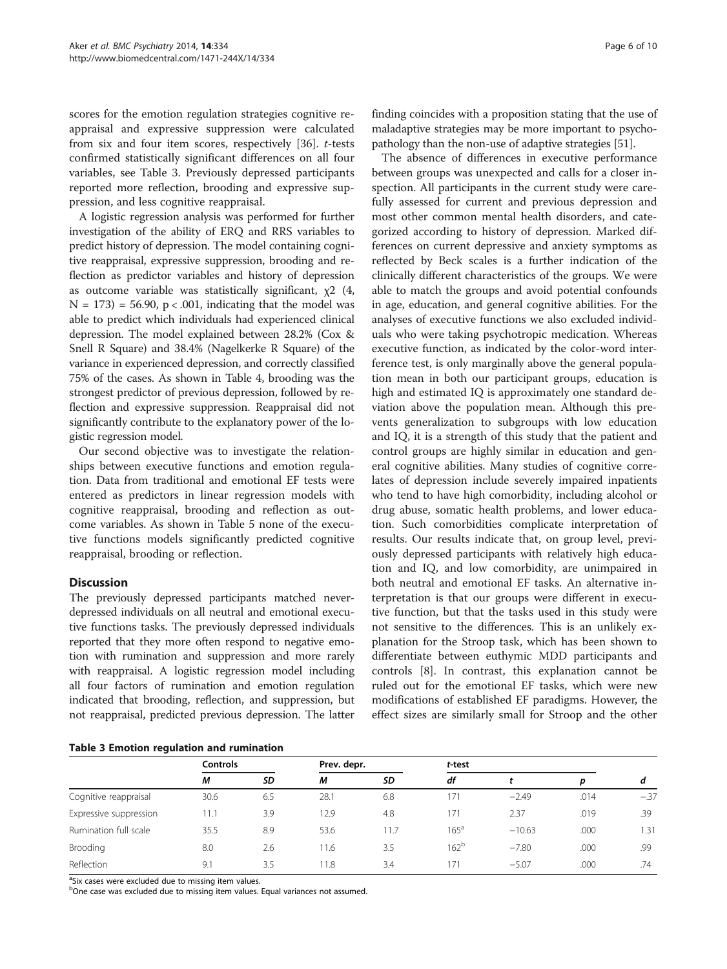scores for the emotion regulation strategies cognitive reappraisal and expressive suppression were calculated from six and four item scores, respectively [\[36\]](#page-9-0). t-tests confirmed statistically significant differences on all four variables, see Table 3. Previously depressed participants reported more reflection, brooding and expressive suppression, and less cognitive reappraisal.

A logistic regression analysis was performed for further investigation of the ability of ERQ and RRS variables to predict history of depression. The model containing cognitive reappraisal, expressive suppression, brooding and reflection as predictor variables and history of depression as outcome variable was statistically significant, χ2 (4,  $N = 173$  = 56.90, p < .001, indicating that the model was able to predict which individuals had experienced clinical depression. The model explained between 28.2% (Cox & Snell R Square) and 38.4% (Nagelkerke R Square) of the variance in experienced depression, and correctly classified 75% of the cases. As shown in Table [4](#page-6-0), brooding was the strongest predictor of previous depression, followed by reflection and expressive suppression. Reappraisal did not significantly contribute to the explanatory power of the logistic regression model.

Our second objective was to investigate the relationships between executive functions and emotion regulation. Data from traditional and emotional EF tests were entered as predictors in linear regression models with cognitive reappraisal, brooding and reflection as outcome variables. As shown in Table [5](#page-6-0) none of the executive functions models significantly predicted cognitive reappraisal, brooding or reflection.

# **Discussion**

The previously depressed participants matched neverdepressed individuals on all neutral and emotional executive functions tasks. The previously depressed individuals reported that they more often respond to negative emotion with rumination and suppression and more rarely with reappraisal. A logistic regression model including all four factors of rumination and emotion regulation indicated that brooding, reflection, and suppression, but not reappraisal, predicted previous depression. The latter

Table 3 Emotion regulation and rumination

finding coincides with a proposition stating that the use of maladaptive strategies may be more important to psychopathology than the non-use of adaptive strategies [\[51\]](#page-9-0).

The absence of differences in executive performance between groups was unexpected and calls for a closer inspection. All participants in the current study were carefully assessed for current and previous depression and most other common mental health disorders, and categorized according to history of depression. Marked differences on current depressive and anxiety symptoms as reflected by Beck scales is a further indication of the clinically different characteristics of the groups. We were able to match the groups and avoid potential confounds in age, education, and general cognitive abilities. For the analyses of executive functions we also excluded individuals who were taking psychotropic medication. Whereas executive function, as indicated by the color-word interference test, is only marginally above the general population mean in both our participant groups, education is high and estimated IQ is approximately one standard deviation above the population mean. Although this prevents generalization to subgroups with low education and IQ, it is a strength of this study that the patient and control groups are highly similar in education and general cognitive abilities. Many studies of cognitive correlates of depression include severely impaired inpatients who tend to have high comorbidity, including alcohol or drug abuse, somatic health problems, and lower education. Such comorbidities complicate interpretation of results. Our results indicate that, on group level, previously depressed participants with relatively high education and IQ, and low comorbidity, are unimpaired in both neutral and emotional EF tasks. An alternative interpretation is that our groups were different in executive function, but that the tasks used in this study were not sensitive to the differences. This is an unlikely explanation for the Stroop task, which has been shown to differentiate between euthymic MDD participants and controls [\[8](#page-8-0)]. In contrast, this explanation cannot be ruled out for the emotional EF tasks, which were new modifications of established EF paradigms. However, the effect sizes are similarly small for Stroop and the other

|                        | <b>Controls</b> |     | Prev. depr. |      | t-test           |          |      |        |
|------------------------|-----------------|-----|-------------|------|------------------|----------|------|--------|
|                        | М               | SD  | М           | SD   | df               |          | p    |        |
| Cognitive reappraisal  | 30.6            | 6.5 | 28.1        | 6.8  | 171              | $-2.49$  | .014 | $-.37$ |
| Expressive suppression | 11.1            | 3.9 | 12.9        | 4.8  | 171              | 2.37     | .019 | .39    |
| Rumination full scale  | 35.5            | 8.9 | 53.6        | 11.7 | $165^a$          | $-10.63$ | .000 | 1.31   |
| <b>Brooding</b>        | 8.0             | 2.6 | 11.6        | 3.5  | 162 <sup>b</sup> | $-7.80$  | .000 | .99    |
| Reflection             | 9.1             | 3.5 | 11.8        | 3.4  | 171              | $-5.07$  | .000 | .74    |

<sup>a</sup>Six cases were excluded due to missing item values.

<sup>b</sup>One case was excluded due to missing item values. Equal variances not assumed.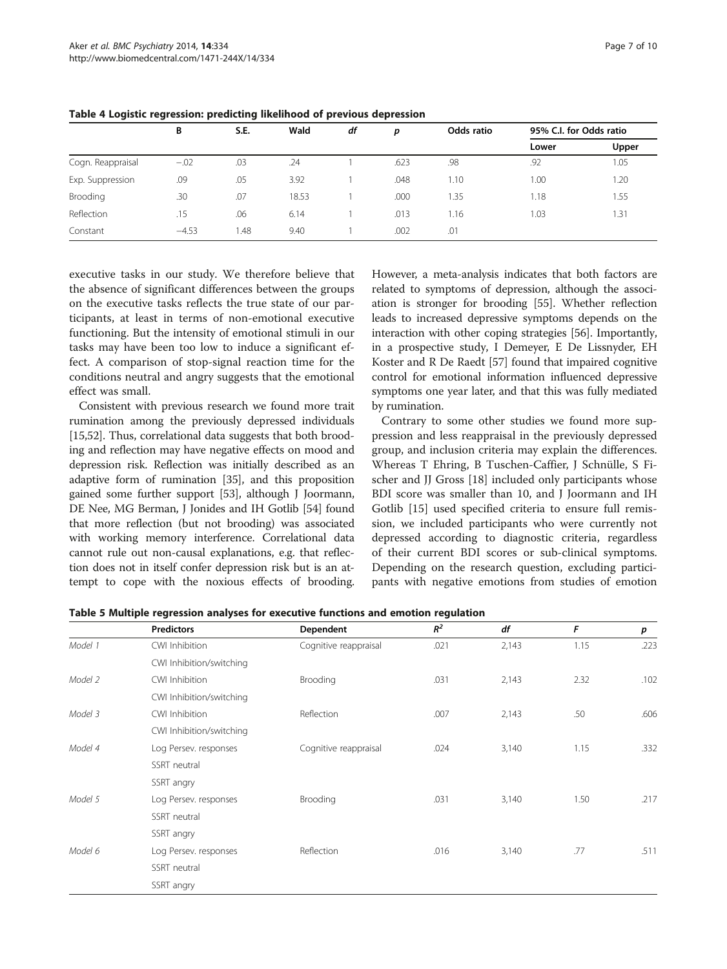|                   | В       | S.E. | Wald  | df | p    | Odds ratio | 95% C.I. for Odds ratio |       |
|-------------------|---------|------|-------|----|------|------------|-------------------------|-------|
|                   |         |      |       |    |      |            | Lower                   | Upper |
| Cogn. Reappraisal | $-.02$  | .03  | .24   |    | .623 | .98        | .92                     | 1.05  |
| Exp. Suppression  | .09     | .05  | 3.92  |    | .048 | 1.10       | 1.00                    | 1.20  |
| Brooding          | .30     | .07  | 18.53 |    | .000 | 35،        | 1.18                    | 1.55  |
| Reflection        | .15     | .06  | 6.14  |    | .013 | 1.16       | 1.03                    | 1.31  |
| Constant          | $-4.53$ | . 48 | 9.40  |    | .002 | .01        |                         |       |

<span id="page-6-0"></span>Table 4 Logistic regression: predicting likelihood of previous depression

executive tasks in our study. We therefore believe that the absence of significant differences between the groups on the executive tasks reflects the true state of our participants, at least in terms of non-emotional executive functioning. But the intensity of emotional stimuli in our tasks may have been too low to induce a significant effect. A comparison of stop-signal reaction time for the conditions neutral and angry suggests that the emotional effect was small.

Consistent with previous research we found more trait rumination among the previously depressed individuals [[15](#page-8-0)[,52](#page-9-0)]. Thus, correlational data suggests that both brooding and reflection may have negative effects on mood and depression risk. Reflection was initially described as an adaptive form of rumination [\[35\]](#page-9-0), and this proposition gained some further support [[53\]](#page-9-0), although J Joormann, DE Nee, MG Berman, J Jonides and IH Gotlib [\[54\]](#page-9-0) found that more reflection (but not brooding) was associated with working memory interference. Correlational data cannot rule out non-causal explanations, e.g. that reflection does not in itself confer depression risk but is an attempt to cope with the noxious effects of brooding. However, a meta-analysis indicates that both factors are related to symptoms of depression, although the association is stronger for brooding [\[55\]](#page-9-0). Whether reflection leads to increased depressive symptoms depends on the interaction with other coping strategies [[56](#page-9-0)]. Importantly, in a prospective study, I Demeyer, E De Lissnyder, EH Koster and R De Raedt [[57](#page-9-0)] found that impaired cognitive control for emotional information influenced depressive symptoms one year later, and that this was fully mediated by rumination.

Contrary to some other studies we found more suppression and less reappraisal in the previously depressed group, and inclusion criteria may explain the differences. Whereas T Ehring, B Tuschen-Caffier, J Schnülle, S Fischer and JJ Gross [[18\]](#page-8-0) included only participants whose BDI score was smaller than 10, and J Joormann and IH Gotlib [[15\]](#page-8-0) used specified criteria to ensure full remission, we included participants who were currently not depressed according to diagnostic criteria, regardless of their current BDI scores or sub-clinical symptoms. Depending on the research question, excluding participants with negative emotions from studies of emotion

|         | <b>Predictors</b>        | Dependent             | $R^2$ | df    | F    | p    |  |
|---------|--------------------------|-----------------------|-------|-------|------|------|--|
| Model 1 | CWI Inhibition           | Cognitive reappraisal | .021  | 2,143 | 1.15 | .223 |  |
|         | CWI Inhibition/switching |                       |       |       |      |      |  |
| Model 2 | CWI Inhibition           | Brooding              | .031  | 2,143 | 2.32 | .102 |  |
|         | CWI Inhibition/switching |                       |       |       |      |      |  |
| Model 3 | CWI Inhibition           | Reflection            | .007  | 2,143 | .50  | .606 |  |
|         | CWI Inhibition/switching |                       |       |       |      |      |  |
| Model 4 | Log Persev. responses    | Cognitive reappraisal | .024  | 3,140 | 1.15 | .332 |  |
|         | SSRT neutral             |                       |       |       |      |      |  |
|         | SSRT angry               |                       |       |       |      |      |  |
| Model 5 | Log Persev. responses    | Brooding              | .031  | 3,140 | 1.50 | .217 |  |
|         | SSRT neutral             |                       |       |       |      |      |  |
|         | SSRT angry               |                       |       |       |      |      |  |
| Model 6 | Log Persev. responses    | Reflection            | .016  | 3,140 | .77  | .511 |  |
|         | SSRT neutral             |                       |       |       |      |      |  |
|         | SSRT angry               |                       |       |       |      |      |  |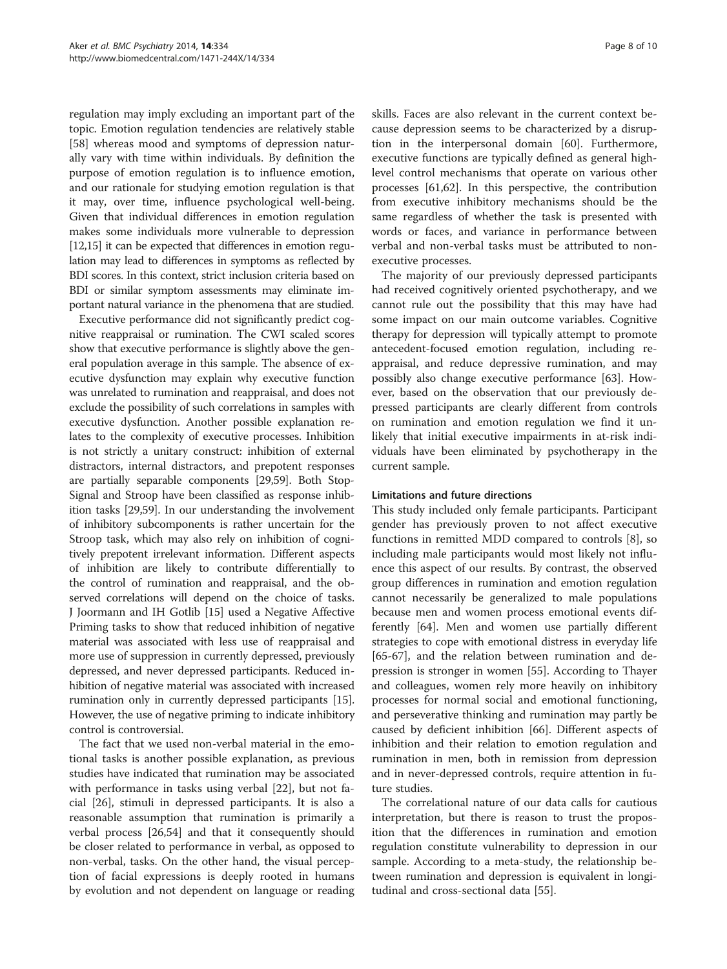regulation may imply excluding an important part of the topic. Emotion regulation tendencies are relatively stable [[58\]](#page-9-0) whereas mood and symptoms of depression naturally vary with time within individuals. By definition the purpose of emotion regulation is to influence emotion, and our rationale for studying emotion regulation is that it may, over time, influence psychological well-being. Given that individual differences in emotion regulation makes some individuals more vulnerable to depression [[12,15\]](#page-8-0) it can be expected that differences in emotion regulation may lead to differences in symptoms as reflected by BDI scores. In this context, strict inclusion criteria based on BDI or similar symptom assessments may eliminate important natural variance in the phenomena that are studied.

Executive performance did not significantly predict cognitive reappraisal or rumination. The CWI scaled scores show that executive performance is slightly above the general population average in this sample. The absence of executive dysfunction may explain why executive function was unrelated to rumination and reappraisal, and does not exclude the possibility of such correlations in samples with executive dysfunction. Another possible explanation relates to the complexity of executive processes. Inhibition is not strictly a unitary construct: inhibition of external distractors, internal distractors, and prepotent responses are partially separable components [\[29,59\]](#page-9-0). Both Stop-Signal and Stroop have been classified as response inhibition tasks [[29,59](#page-9-0)]. In our understanding the involvement of inhibitory subcomponents is rather uncertain for the Stroop task, which may also rely on inhibition of cognitively prepotent irrelevant information. Different aspects of inhibition are likely to contribute differentially to the control of rumination and reappraisal, and the observed correlations will depend on the choice of tasks. J Joormann and IH Gotlib [[15](#page-8-0)] used a Negative Affective Priming tasks to show that reduced inhibition of negative material was associated with less use of reappraisal and more use of suppression in currently depressed, previously depressed, and never depressed participants. Reduced inhibition of negative material was associated with increased rumination only in currently depressed participants [[15](#page-8-0)]. However, the use of negative priming to indicate inhibitory control is controversial.

The fact that we used non-verbal material in the emotional tasks is another possible explanation, as previous studies have indicated that rumination may be associated with performance in tasks using verbal [\[22](#page-8-0)], but not facial [\[26](#page-8-0)], stimuli in depressed participants. It is also a reasonable assumption that rumination is primarily a verbal process [\[26](#page-8-0)[,54](#page-9-0)] and that it consequently should be closer related to performance in verbal, as opposed to non-verbal, tasks. On the other hand, the visual perception of facial expressions is deeply rooted in humans by evolution and not dependent on language or reading

skills. Faces are also relevant in the current context because depression seems to be characterized by a disruption in the interpersonal domain [[60](#page-9-0)]. Furthermore, executive functions are typically defined as general highlevel control mechanisms that operate on various other processes [\[61,62](#page-9-0)]. In this perspective, the contribution from executive inhibitory mechanisms should be the same regardless of whether the task is presented with words or faces, and variance in performance between verbal and non-verbal tasks must be attributed to nonexecutive processes.

The majority of our previously depressed participants had received cognitively oriented psychotherapy, and we cannot rule out the possibility that this may have had some impact on our main outcome variables. Cognitive therapy for depression will typically attempt to promote antecedent-focused emotion regulation, including reappraisal, and reduce depressive rumination, and may possibly also change executive performance [\[63\]](#page-9-0). However, based on the observation that our previously depressed participants are clearly different from controls on rumination and emotion regulation we find it unlikely that initial executive impairments in at-risk individuals have been eliminated by psychotherapy in the current sample.

#### Limitations and future directions

This study included only female participants. Participant gender has previously proven to not affect executive functions in remitted MDD compared to controls [\[8](#page-8-0)], so including male participants would most likely not influence this aspect of our results. By contrast, the observed group differences in rumination and emotion regulation cannot necessarily be generalized to male populations because men and women process emotional events differently [\[64](#page-9-0)]. Men and women use partially different strategies to cope with emotional distress in everyday life [[65-67](#page-9-0)], and the relation between rumination and depression is stronger in women [\[55](#page-9-0)]. According to Thayer and colleagues, women rely more heavily on inhibitory processes for normal social and emotional functioning, and perseverative thinking and rumination may partly be caused by deficient inhibition [[66\]](#page-9-0). Different aspects of inhibition and their relation to emotion regulation and rumination in men, both in remission from depression and in never-depressed controls, require attention in future studies.

The correlational nature of our data calls for cautious interpretation, but there is reason to trust the proposition that the differences in rumination and emotion regulation constitute vulnerability to depression in our sample. According to a meta-study, the relationship between rumination and depression is equivalent in longitudinal and cross-sectional data [[55\]](#page-9-0).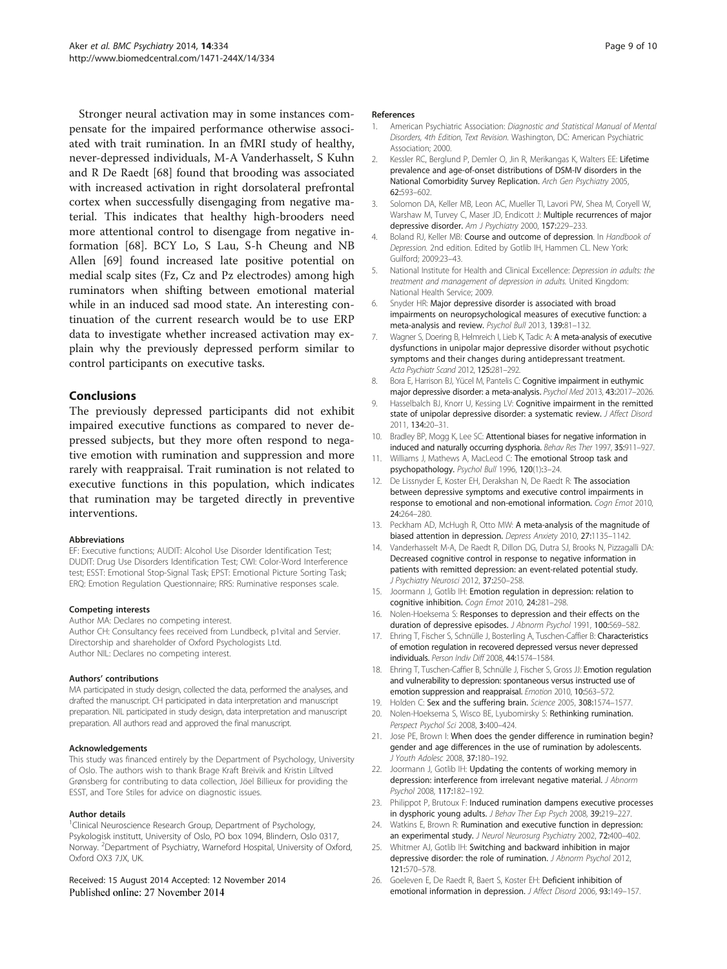<span id="page-8-0"></span>Stronger neural activation may in some instances compensate for the impaired performance otherwise associated with trait rumination. In an fMRI study of healthy, never-depressed individuals, M-A Vanderhasselt, S Kuhn and R De Raedt [\[68](#page-9-0)] found that brooding was associated with increased activation in right dorsolateral prefrontal cortex when successfully disengaging from negative material. This indicates that healthy high-brooders need more attentional control to disengage from negative information [[68](#page-9-0)]. BCY Lo, S Lau, S-h Cheung and NB Allen [[69](#page-9-0)] found increased late positive potential on medial scalp sites (Fz, Cz and Pz electrodes) among high ruminators when shifting between emotional material while in an induced sad mood state. An interesting continuation of the current research would be to use ERP data to investigate whether increased activation may explain why the previously depressed perform similar to control participants on executive tasks.

# Conclusions

The previously depressed participants did not exhibit impaired executive functions as compared to never depressed subjects, but they more often respond to negative emotion with rumination and suppression and more rarely with reappraisal. Trait rumination is not related to executive functions in this population, which indicates that rumination may be targeted directly in preventive interventions.

#### Abbreviations

EF: Executive functions; AUDIT: Alcohol Use Disorder Identification Test; DUDIT: Drug Use Disorders Identification Test; CWI: Color-Word Interference test; ESST: Emotional Stop-Signal Task; EPST: Emotional Picture Sorting Task; ERQ: Emotion Regulation Questionnaire; RRS: Ruminative responses scale.

#### Competing interests

Author MA: Declares no competing interest. Author CH: Consultancy fees received from Lundbeck, p1vital and Servier. Directorship and shareholder of Oxford Psychologists Ltd. Author NIL: Declares no competing interest.

#### Authors' contributions

MA participated in study design, collected the data, performed the analyses, and drafted the manuscript. CH participated in data interpretation and manuscript preparation. NIL participated in study design, data interpretation and manuscript preparation. All authors read and approved the final manuscript.

#### Acknowledgements

This study was financed entirely by the Department of Psychology, University of Oslo. The authors wish to thank Brage Kraft Breivik and Kristin Liltved Grønsberg for contributing to data collection, Jöel Billieux for providing the ESST, and Tore Stiles for advice on diagnostic issues.

#### Author details

<sup>1</sup>Clinical Neuroscience Research Group, Department of Psychology, Psykologisk institutt, University of Oslo, PO box 1094, Blindern, Oslo 0317, Norway. <sup>2</sup>Department of Psychiatry, Warneford Hospital, University of Oxford, Oxford OX3 7JX, UK.

#### Received: 15 August 2014 Accepted: 12 November 2014 Published online: 27 November 2014

#### References

- 1. American Psychiatric Association: Diagnostic and Statistical Manual of Mental Disorders, 4th Edition, Text Revision. Washington, DC: American Psychiatric Association; 2000.
- 2. Kessler RC, Berglund P, Demler O, Jin R, Merikangas K, Walters EE: Lifetime prevalence and age-of-onset distributions of DSM-IV disorders in the National Comorbidity Survey Replication. Arch Gen Psychiatry 2005, 62:593–602.
- 3. Solomon DA, Keller MB, Leon AC, Mueller TI, Lavori PW, Shea M, Coryell W, Warshaw M, Turvey C, Maser JD, Endicott J: Multiple recurrences of major depressive disorder. Am J Psychiatry 2000, 157:229-233.
- 4. Boland RJ, Keller MB: Course and outcome of depression. In Handbook of Depression. 2nd edition. Edited by Gotlib IH, Hammen CL. New York: Guilford; 2009:23–43.
- 5. National Institute for Health and Clinical Excellence: Depression in adults: the treatment and management of depression in adults. United Kingdom: National Health Service; 2009.
- 6. Snyder HR: Major depressive disorder is associated with broad impairments on neuropsychological measures of executive function: a meta-analysis and review. Psychol Bull 2013, 139:81–132.
- 7. Wagner S, Doering B, Helmreich I, Lieb K, Tadic A: A meta-analysis of executive dysfunctions in unipolar major depressive disorder without psychotic symptoms and their changes during antidepressant treatment. Acta Psychiatr Scand 2012, 125:281–292.
- 8. Bora E, Harrison BJ, Yücel M, Pantelis C: Cognitive impairment in euthymic major depressive disorder: a meta-analysis. Psychol Med 2013, 43:2017–2026.
- 9. Hasselbalch BJ, Knorr U, Kessing LV: Cognitive impairment in the remitted state of unipolar depressive disorder: a systematic review. J Affect Disord 2011, 134:20–31.
- 10. Bradley BP, Mogg K, Lee SC: Attentional biases for negative information in induced and naturally occurring dysphoria. Behav Res Ther 1997, 35:911–927.
- 11. Williams J, Mathews A, MacLeod C: The emotional Stroop task and psychopathology. Psychol Bull 1996, 120(1):3–24.
- 12. De Lissnyder E, Koster EH, Derakshan N, De Raedt R: The association between depressive symptoms and executive control impairments in response to emotional and non-emotional information. Cogn Emot 2010, 24:264–280.
- 13. Peckham AD, McHugh R, Otto MW: A meta-analysis of the magnitude of biased attention in depression. Depress Anxiety 2010, 27:1135–1142.
- 14. Vanderhasselt M-A, De Raedt R, Dillon DG, Dutra SJ, Brooks N, Pizzagalli DA: Decreased cognitive control in response to negative information in patients with remitted depression: an event-related potential study. J Psychiatry Neurosci 2012, 37:250-258.
- 15. Joormann J, Gotlib IH: Emotion regulation in depression: relation to cognitive inhibition. Cogn Emot 2010, 24:281–298.
- 16. Nolen-Hoeksema S: Responses to depression and their effects on the duration of depressive episodes. J Abnorm Psychol 1991, 100:569-582.
- 17. Ehring T, Fischer S, Schnülle J, Bosterling A, Tuschen-Caffier B: Characteristics of emotion regulation in recovered depressed versus never depressed individuals. Person Indiv Diff 2008, 44:1574–1584.
- 18. Ehring T, Tuschen-Caffier B, Schnülle J, Fischer S, Gross JJ: **Emotion regulation** and vulnerability to depression: spontaneous versus instructed use of emotion suppression and reappraisal. Emotion 2010, 10:563–572.
- 19. Holden C: Sex and the suffering brain. Science 2005, 308:1574-1577.
- 20. Nolen-Hoeksema S, Wisco BE, Lyubomirsky S: Rethinking rumination. Perspect Psychol Sci 2008, 3:400–424.
- 21. Jose PE, Brown I: When does the gender difference in rumination begin? gender and age differences in the use of rumination by adolescents. J Youth Adolesc 2008, 37:180–192.
- 22. Joormann J, Gotlib IH: Updating the contents of working memory in depression: interference from irrelevant negative material. J Abnorm Psychol 2008, 117:182–192.
- 23. Philippot P, Brutoux F: Induced rumination dampens executive processes in dysphoric young adults. J Behav Ther Exp Psych 2008, 39:219-227.
- 24. Watkins E, Brown R: Rumination and executive function in depression: an experimental study. J Neurol Neurosurg Psychiatry 2002, 72:400-402.
- 25. Whitmer AJ, Gotlib IH: Switching and backward inhibition in major depressive disorder: the role of rumination. J Abnorm Psychol 2012, 121:570–578.
- 26. Goeleven E, De Raedt R, Baert S, Koster EH: Deficient inhibition of emotional information in depression. J Affect Disord 2006, 93:149-157.